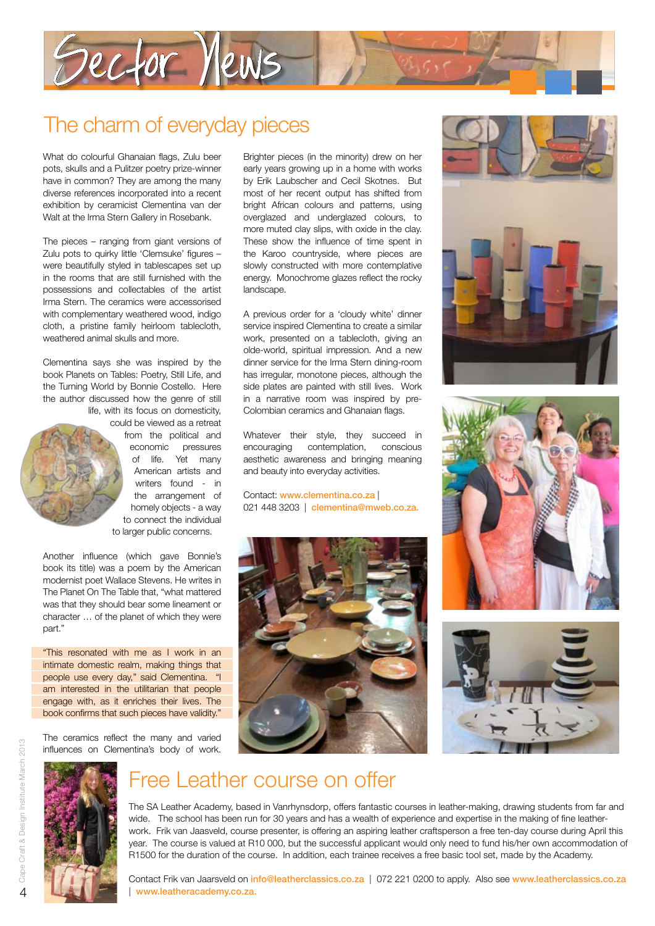

### The charm of everyday pieces

What do colourful Ghanaian flags, Zulu beer pots, skulls and a Pulitzer poetry prize-winner have in common? They are among the many diverse references incorporated into a recent exhibition by ceramicist Clementina van der Walt at the Irma Stern Gallery in Rosebank.

The pieces – ranging from giant versions of Zulu pots to quirky little 'Clemsuke' figures – were beautifully styled in tablescapes set up in the rooms that are still furnished with the possessions and collectables of the artist Irma Stern. The ceramics were accessorised with complementary weathered wood, indigo cloth, a pristine family heirloom tablecloth, weathered animal skulls and more.

Clementina says she was inspired by the book Planets on Tables: Poetry, Still Life, and the Turning World by Bonnie Costello. Here the author discussed how the genre of still life, with its focus on domesticity,

> could be viewed as a retreat from the political and economic pressures of life. Yet many American artists and writers found - in the arrangement of homely objects - a way to connect the individual to larger public concerns.

Another influence (which gave Bonnie's book its title) was a poem by the American modernist poet Wallace Stevens. He writes in The Planet On The Table that, "what mattered was that they should bear some lineament or character … of the planet of which they were part."

"This resonated with me as I work in an intimate domestic realm, making things that people use every day," said Clementina. "I am interested in the utilitarian that people engage with, as it enriches their lives. The book confirms that such pieces have validity."

The ceramics reflect the many and varied influences on Clementina's body of work.



Brighter pieces (in the minority) drew on her early years growing up in a home with works by Erik Laubscher and Cecil Skotnes. But most of her recent output has shifted from bright African colours and patterns, using overglazed and underglazed colours, to more muted clay slips, with oxide in the clay. These show the influence of time spent in the Karoo countryside, where pieces are slowly constructed with more contemplative energy. Monochrome glazes reflect the rocky landscape.

A previous order for a 'cloudy white' dinner service inspired Clementina to create a similar work, presented on a tablecloth, giving an olde-world, spiritual impression. And a new dinner service for the Irma Stern dining-room has irregular, monotone pieces, although the side plates are painted with still lives. Work in a narrative room was inspired by pre-Colombian ceramics and Ghanaian flags.

Whatever their style, they succeed in encouraging contemplation, conscious aesthetic awareness and bringing meaning and beauty into everyday activities.

Contact: www.clementina.co.za | 021 448 3203 | clementina@mweb.co.za.









#### Free Leather course on offer

The SA Leather Academy, based in Vanrhynsdorp, offers fantastic courses in leather-making, drawing students from far and wide. The school has been run for 30 years and has a wealth of experience and expertise in the making of fine leatherwork. Frik van Jaasveld, course presenter, is offering an aspiring leather craftsperson a free ten-day course during April this year. The course is valued at R10 000, but the successful applicant would only need to fund his/her own accommodation of R1500 for the duration of the course. In addition, each trainee receives a free basic tool set, made by the Academy.

Contact Frik van Jaarsveld on *info@leatherclassics.co.za* | 072 221 0200 to apply. Also see www.leatherclassics.co.za www.leatheracademy.co.za.